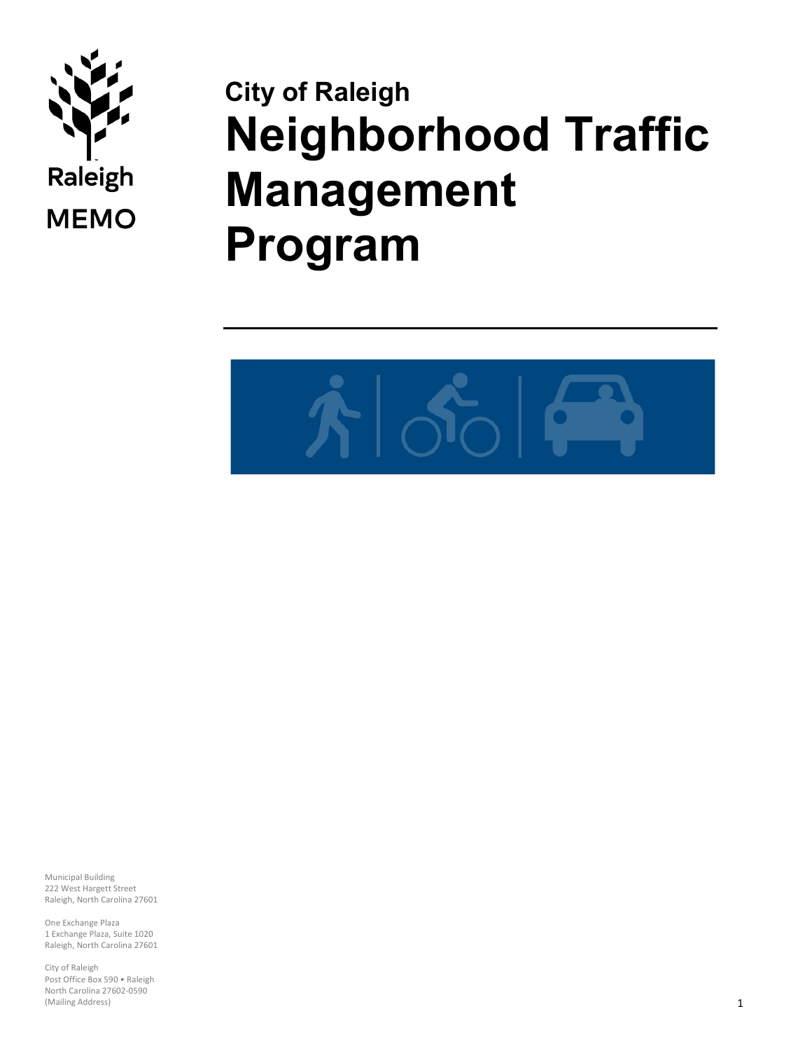

# **City of Raleigh Neighborhood Traffic Management Program**



Municipal Building 222 West Hargett Street Raleigh, North Carolina 27601

One Exchange Plaza 1 Exchange Plaza, Suite 1020 Raleigh, North Carolina 27601

City of Raleigh Post Office Box 590 • Raleigh North Carolina 27602-0590 (Mailing Address)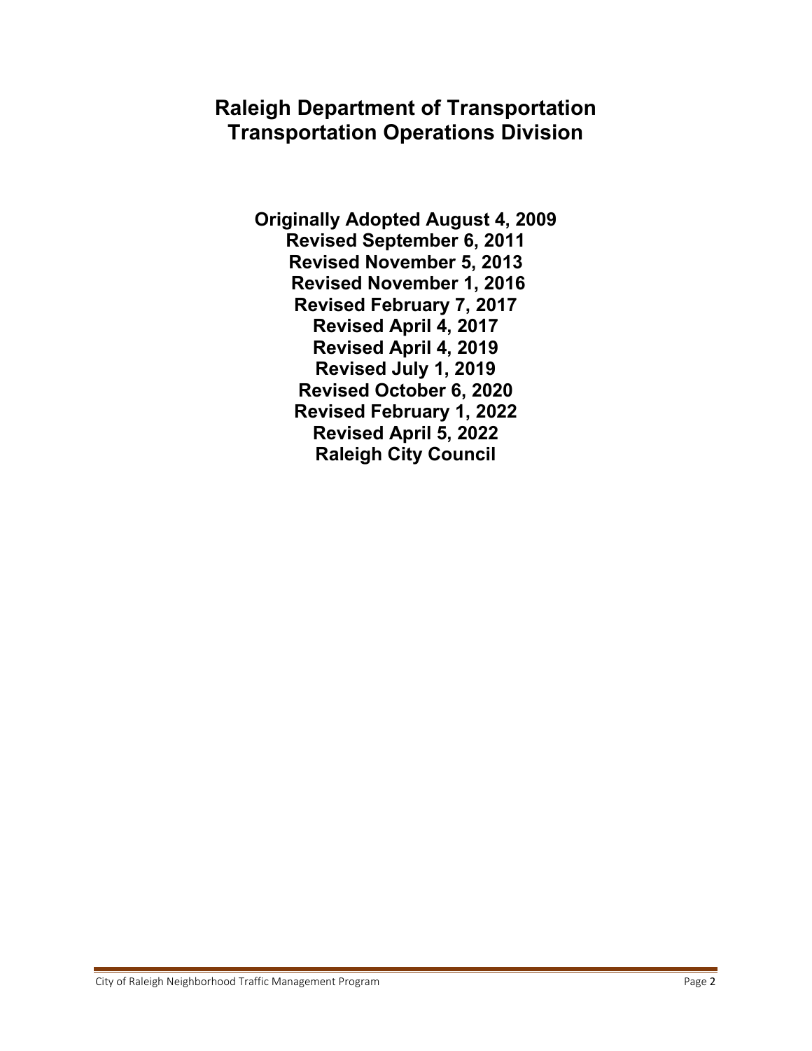## **Raleigh Department of Transportation Transportation Operations Division**

**Originally Adopted August 4, 2009 Revised September 6, 2011 Revised November 5, 2013 Revised November 1, 2016 Revised February 7, 2017 Revised April 4, 2017 Revised April 4, 2019 Revised July 1, 2019 Revised October 6, 2020 Revised February 1, 2022 Revised April 5, 2022 Raleigh City Council**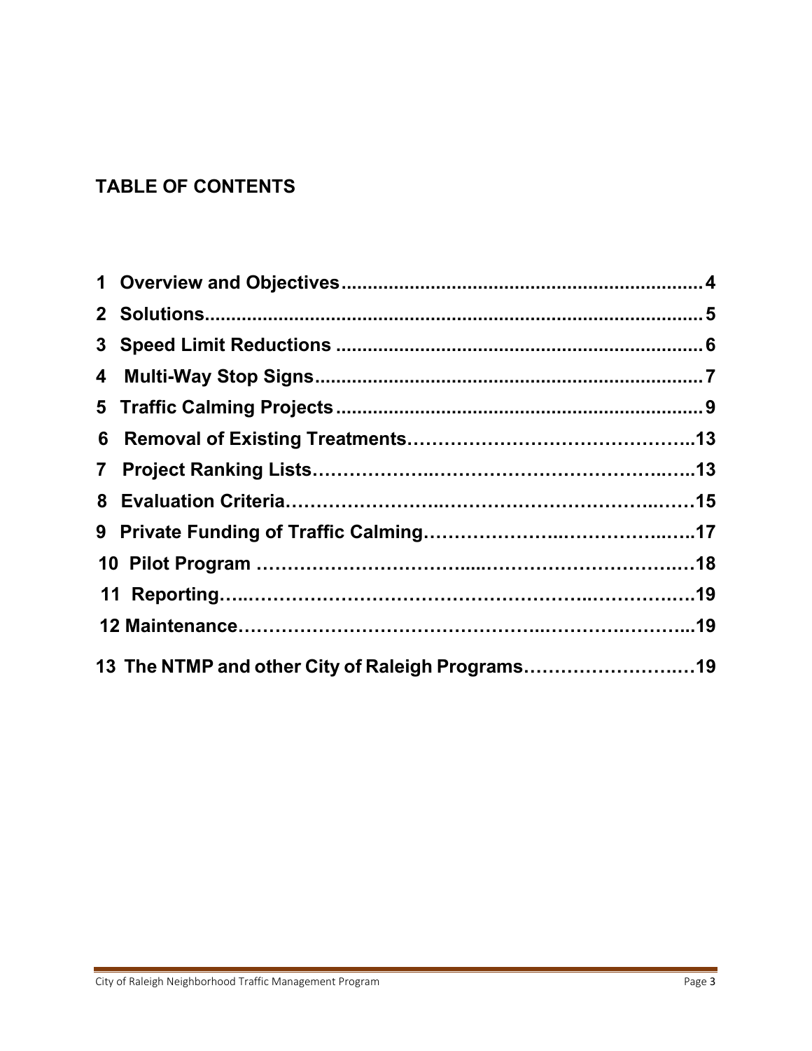## **TABLE OF CONTENTS**

| 13 The NTMP and other City of Raleigh Programs19 |  |
|--------------------------------------------------|--|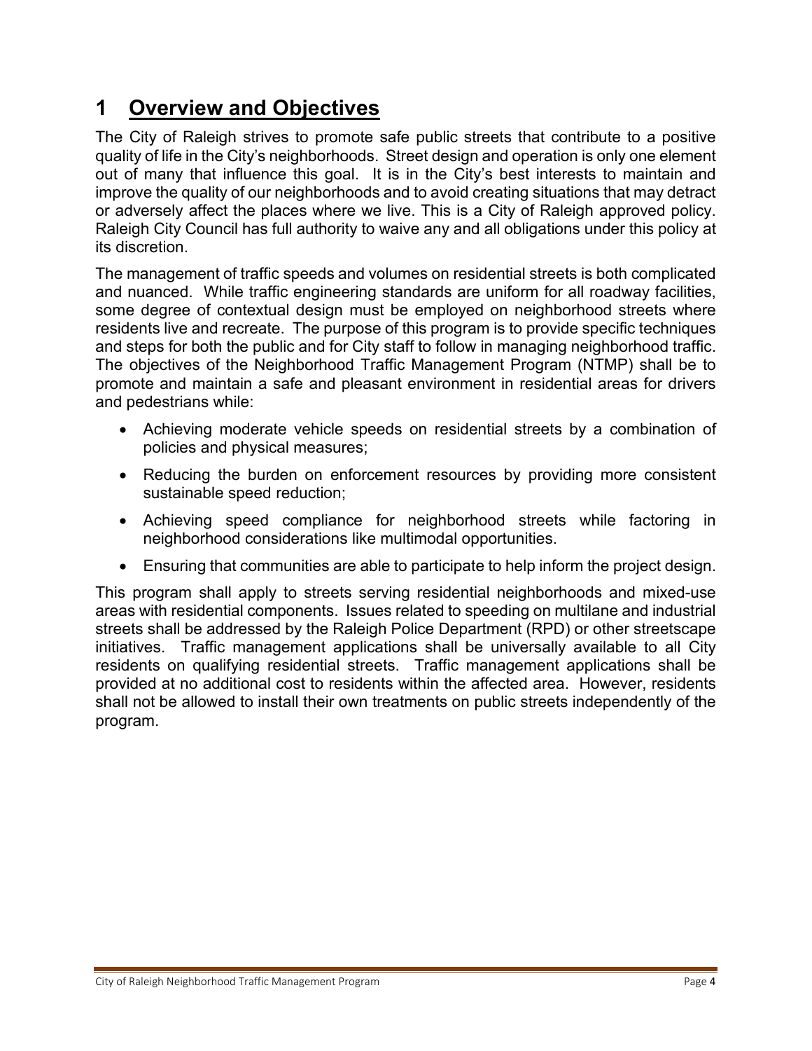# <span id="page-3-0"></span>**1 Overview and Objectives**

The City of Raleigh strives to promote safe public streets that contribute to a positive quality of life in the City's neighborhoods. Street design and operation is only one element out of many that influence this goal. It is in the City's best interests to maintain and improve the quality of our neighborhoods and to avoid creating situations that may detract or adversely affect the places where we live. This is a City of Raleigh approved policy. Raleigh City Council has full authority to waive any and all obligations under this policy at its discretion.

The management of traffic speeds and volumes on residential streets is both complicated and nuanced. While traffic engineering standards are uniform for all roadway facilities, some degree of contextual design must be employed on neighborhood streets where residents live and recreate. The purpose of this program is to provide specific techniques and steps for both the public and for City staff to follow in managing neighborhood traffic. The objectives of the Neighborhood Traffic Management Program (NTMP) shall be to promote and maintain a safe and pleasant environment in residential areas for drivers and pedestrians while:

- Achieving moderate vehicle speeds on residential streets by a combination of policies and physical measures;
- Reducing the burden on enforcement resources by providing more consistent sustainable speed reduction;
- Achieving speed compliance for neighborhood streets while factoring in neighborhood considerations like multimodal opportunities.
- Ensuring that communities are able to participate to help inform the project design.

This program shall apply to streets serving residential neighborhoods and mixed-use areas with residential components. Issues related to speeding on multilane and industrial streets shall be addressed by the Raleigh Police Department (RPD) or other streetscape initiatives. Traffic management applications shall be universally available to all City residents on qualifying residential streets. Traffic management applications shall be provided at no additional cost to residents within the affected area. However, residents shall not be allowed to install their own treatments on public streets independently of the program.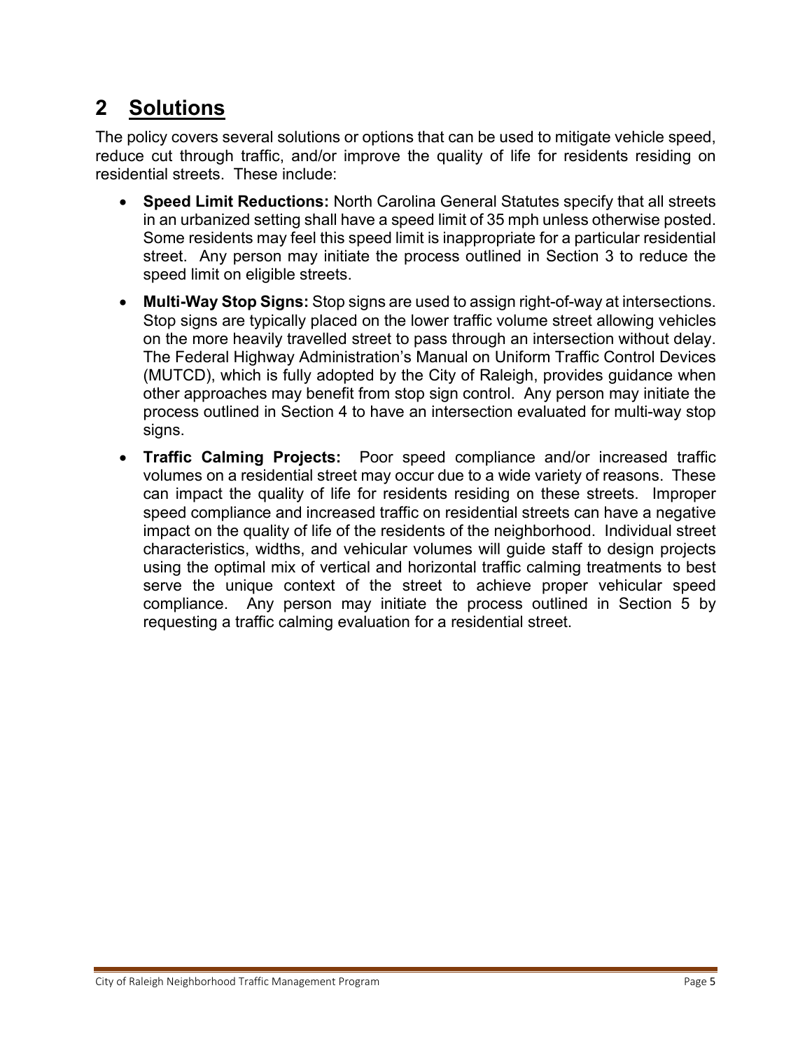# <span id="page-4-0"></span>**2 Solutions**

The policy covers several solutions or options that can be used to mitigate vehicle speed, reduce cut through traffic, and/or improve the quality of life for residents residing on residential streets. These include:

- **Speed Limit Reductions:** North Carolina General Statutes specify that all streets in an urbanized setting shall have a speed limit of 35 mph unless otherwise posted. Some residents may feel this speed limit is inappropriate for a particular residential street. Any person may initiate the process outlined in Section 3 to reduce the speed limit on eligible streets.
- **Multi-Way Stop Signs:** Stop signs are used to assign right-of-way at intersections. Stop signs are typically placed on the lower traffic volume street allowing vehicles on the more heavily travelled street to pass through an intersection without delay. The Federal Highway Administration's Manual on Uniform Traffic Control Devices (MUTCD), which is fully adopted by the City of Raleigh, provides guidance when other approaches may benefit from stop sign control. Any person may initiate the process outlined in Section 4 to have an intersection evaluated for multi-way stop signs.
- **Traffic Calming Projects:** Poor speed compliance and/or increased traffic volumes on a residential street may occur due to a wide variety of reasons. These can impact the quality of life for residents residing on these streets. Improper speed compliance and increased traffic on residential streets can have a negative impact on the quality of life of the residents of the neighborhood. Individual street characteristics, widths, and vehicular volumes will guide staff to design projects using the optimal mix of vertical and horizontal traffic calming treatments to best serve the unique context of the street to achieve proper vehicular speed compliance. Any person may initiate the process outlined in Section 5 by requesting a traffic calming evaluation for a residential street.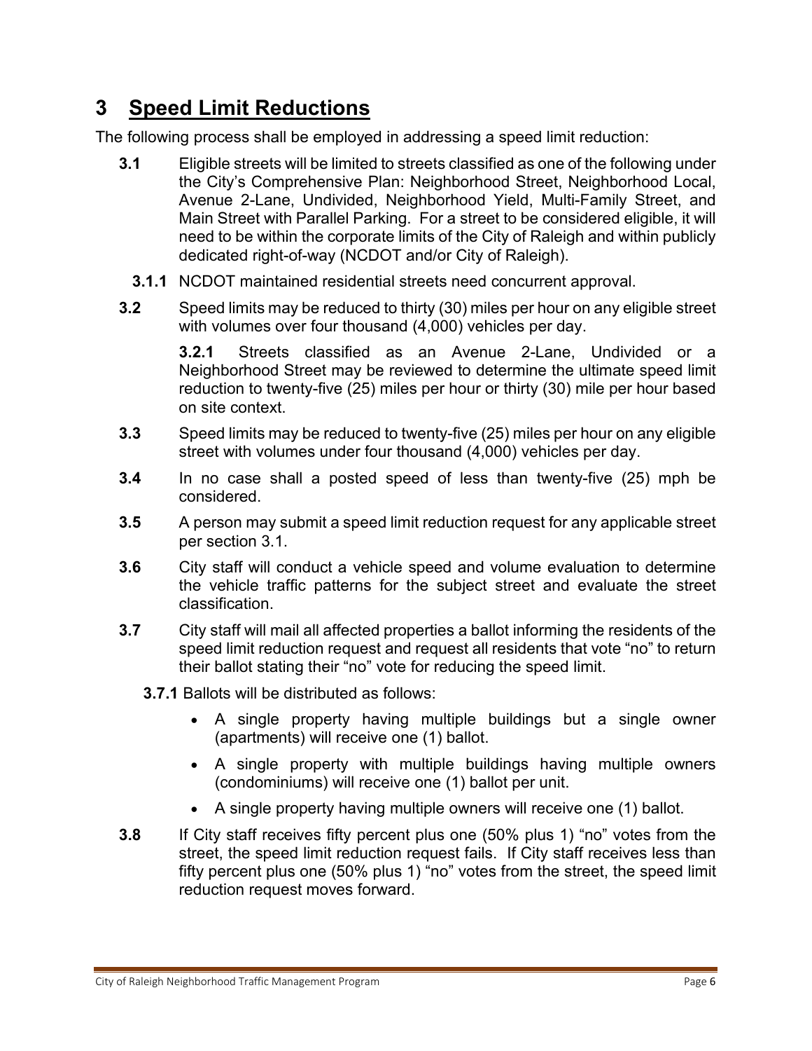# <span id="page-5-0"></span>**3 Speed Limit Reductions**

The following process shall be employed in addressing a speed limit reduction:

- **3.1** Eligible streets will be limited to streets classified as one of the following under the City's Comprehensive Plan: Neighborhood Street, Neighborhood Local, Avenue 2-Lane, Undivided, Neighborhood Yield, Multi-Family Street, and Main Street with Parallel Parking. For a street to be considered eligible, it will need to be within the corporate limits of the City of Raleigh and within publicly dedicated right-of-way (NCDOT and/or City of Raleigh).
	- **3.1.1** NCDOT maintained residential streets need concurrent approval.
- **3.2** Speed limits may be reduced to thirty (30) miles per hour on any eligible street with volumes over four thousand (4,000) vehicles per day.

**3.2.1** Streets classified as an Avenue 2-Lane, Undivided or a Neighborhood Street may be reviewed to determine the ultimate speed limit reduction to twenty-five (25) miles per hour or thirty (30) mile per hour based on site context.

- **3.3** Speed limits may be reduced to twenty-five (25) miles per hour on any eligible street with volumes under four thousand (4,000) vehicles per day.
- **3.4** In no case shall a posted speed of less than twenty-five (25) mph be considered.
- **3.5** A person may submit a speed limit reduction request for any applicable street per section 3.1.
- **3.6** City staff will conduct a vehicle speed and volume evaluation to determine the vehicle traffic patterns for the subject street and evaluate the street classification.
- **3.7** City staff will mail all affected properties a ballot informing the residents of the speed limit reduction request and request all residents that vote "no" to return their ballot stating their "no" vote for reducing the speed limit.
	- **3.7.1** Ballots will be distributed as follows:
		- A single property having multiple buildings but a single owner (apartments) will receive one (1) ballot.
		- A single property with multiple buildings having multiple owners (condominiums) will receive one (1) ballot per unit.
		- A single property having multiple owners will receive one (1) ballot.
- **3.8** If City staff receives fifty percent plus one (50% plus 1) "no" votes from the street, the speed limit reduction request fails. If City staff receives less than fifty percent plus one (50% plus 1) "no" votes from the street, the speed limit reduction request moves forward.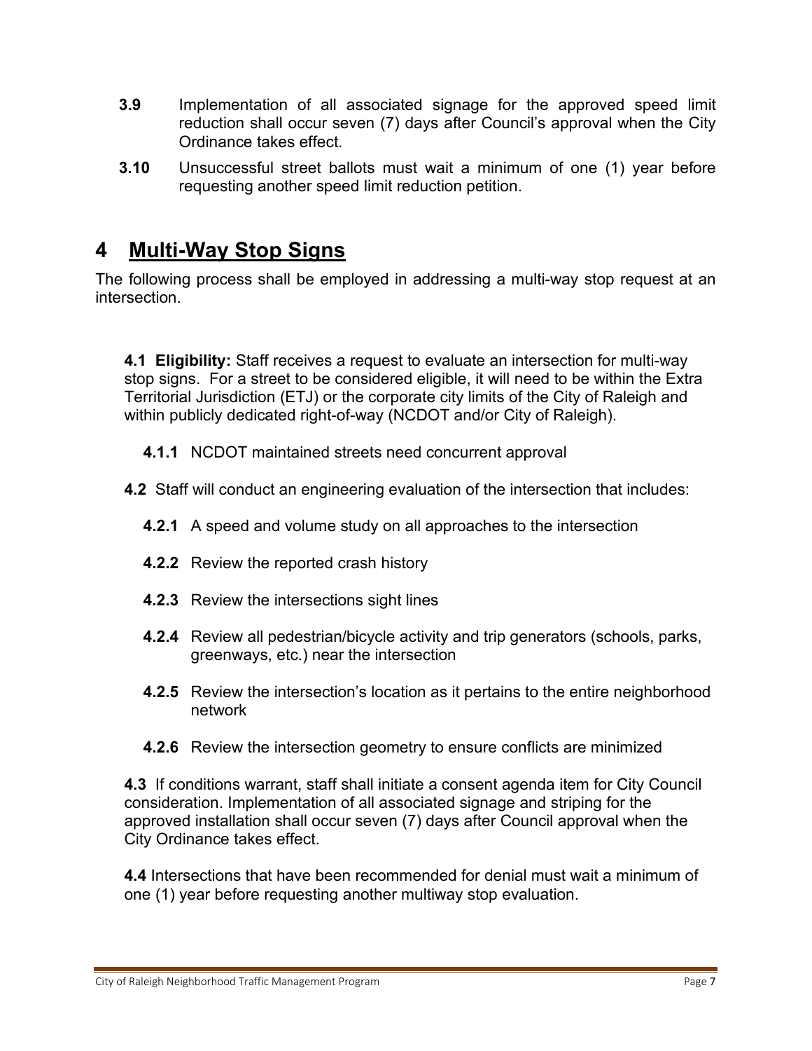- **3.9** Implementation of all associated signage for the approved speed limit reduction shall occur seven (7) days after Council's approval when the City Ordinance takes effect.
- **3.10** Unsuccessful street ballots must wait a minimum of one (1) year before requesting another speed limit reduction petition.

## <span id="page-6-0"></span>**4 Multi-Way Stop Signs**

The following process shall be employed in addressing a multi-way stop request at an intersection.

**4.1 Eligibility:** Staff receives a request to evaluate an intersection for multi-way stop signs. For a street to be considered eligible, it will need to be within the Extra Territorial Jurisdiction (ETJ) or the corporate city limits of the City of Raleigh and within publicly dedicated right-of-way (NCDOT and/or City of Raleigh).

**4.1.1** NCDOT maintained streets need concurrent approval

- **4.2** Staff will conduct an engineering evaluation of the intersection that includes:
	- **4.2.1** A speed and volume study on all approaches to the intersection
	- **4.2.2** Review the reported crash history
	- **4.2.3** Review the intersections sight lines
	- **4.2.4** Review all pedestrian/bicycle activity and trip generators (schools, parks, greenways, etc.) near the intersection
	- **4.2.5** Review the intersection's location as it pertains to the entire neighborhood network
	- **4.2.6** Review the intersection geometry to ensure conflicts are minimized

**4.3** If conditions warrant, staff shall initiate a consent agenda item for City Council consideration. Implementation of all associated signage and striping for the approved installation shall occur seven (7) days after Council approval when the City Ordinance takes effect.

**4.4** Intersections that have been recommended for denial must wait a minimum of one (1) year before requesting another multiway stop evaluation.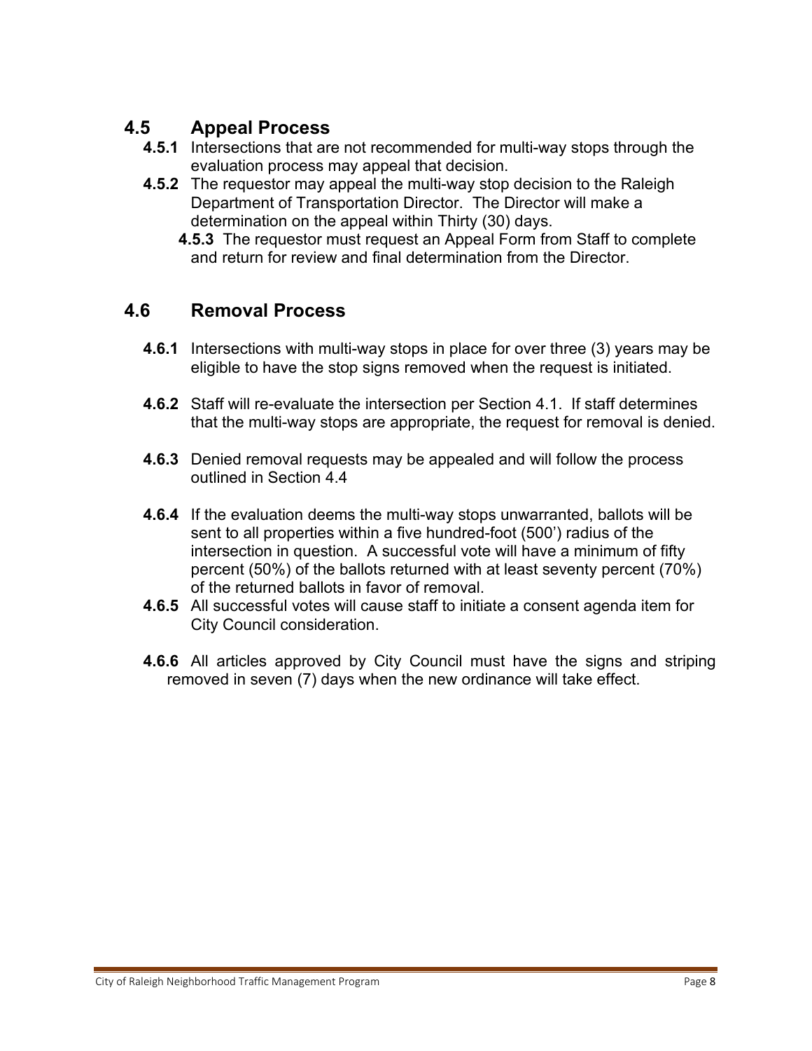#### **4.5 Appeal Process**

- **4.5.1** Intersections that are not recommended for multi-way stops through the evaluation process may appeal that decision.
- **4.5.2** The requestor may appeal the multi-way stop decision to the Raleigh Department of Transportation Director. The Director will make a determination on the appeal within Thirty (30) days.
	- **4.5.3** The requestor must request an Appeal Form from Staff to complete and return for review and final determination from the Director.

#### **4.6 Removal Process**

- **4.6.1** Intersections with multi-way stops in place for over three (3) years may be eligible to have the stop signs removed when the request is initiated.
- **4.6.2** Staff will re-evaluate the intersection per Section 4.1. If staff determines that the multi-way stops are appropriate, the request for removal is denied.
- **4.6.3** Denied removal requests may be appealed and will follow the process outlined in Section 4.4
- **4.6.4** If the evaluation deems the multi-way stops unwarranted, ballots will be sent to all properties within a five hundred-foot (500') radius of the intersection in question. A successful vote will have a minimum of fifty percent (50%) of the ballots returned with at least seventy percent (70%) of the returned ballots in favor of removal.
- **4.6.5** All successful votes will cause staff to initiate a consent agenda item for City Council consideration.
- **4.6.6** All articles approved by City Council must have the signs and striping removed in seven (7) days when the new ordinance will take effect.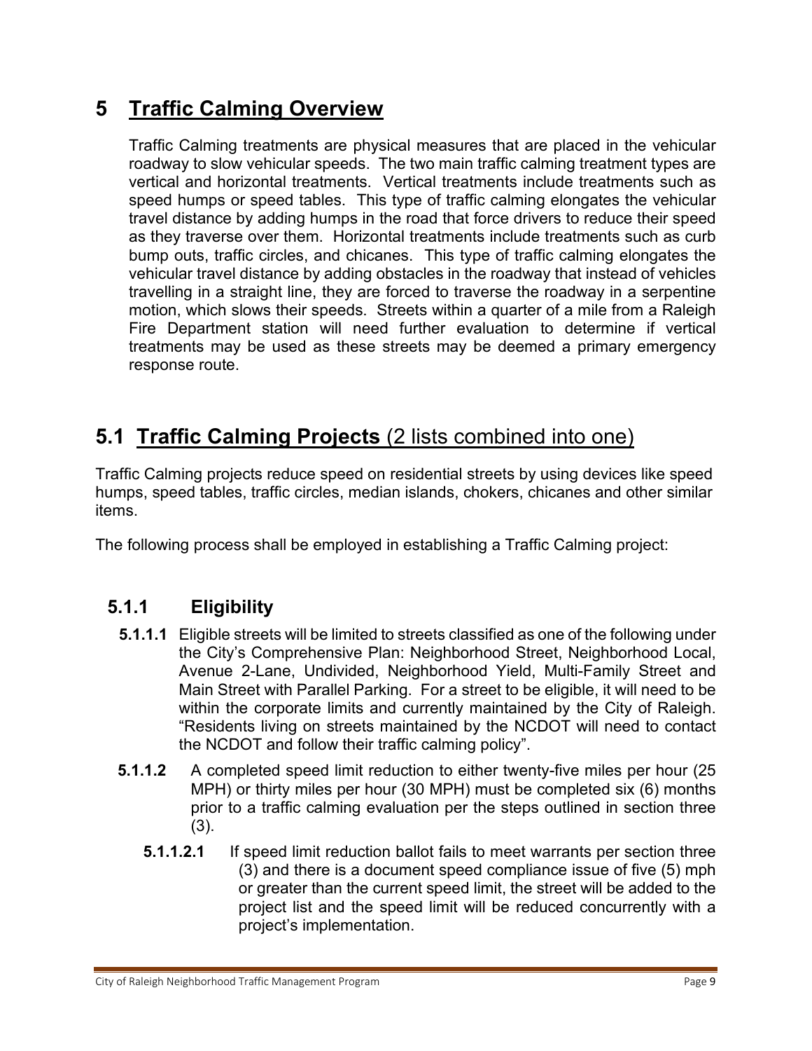# **5 Traffic Calming Overview**

Traffic Calming treatments are physical measures that are placed in the vehicular roadway to slow vehicular speeds. The two main traffic calming treatment types are vertical and horizontal treatments. Vertical treatments include treatments such as speed humps or speed tables. This type of traffic calming elongates the vehicular travel distance by adding humps in the road that force drivers to reduce their speed as they traverse over them. Horizontal treatments include treatments such as curb bump outs, traffic circles, and chicanes. This type of traffic calming elongates the vehicular travel distance by adding obstacles in the roadway that instead of vehicles travelling in a straight line, they are forced to traverse the roadway in a serpentine motion, which slows their speeds. Streets within a quarter of a mile from a Raleigh Fire Department station will need further evaluation to determine if vertical treatments may be used as these streets may be deemed a primary emergency response route.

## **5.1 Traffic Calming Projects** (2 lists combined into one)

Traffic Calming projects reduce speed on residential streets by using devices like speed humps, speed tables, traffic circles, median islands, chokers, chicanes and other similar items.

The following process shall be employed in establishing a Traffic Calming project:

## **5.1.1 Eligibility**

- **5.1.1.1** Eligible streets will be limited to streets classified as one of the following under the City's Comprehensive Plan: Neighborhood Street, Neighborhood Local, Avenue 2-Lane, Undivided, Neighborhood Yield, Multi-Family Street and Main Street with Parallel Parking. For a street to be eligible, it will need to be within the corporate limits and currently maintained by the City of Raleigh. "Residents living on streets maintained by the NCDOT will need to contact the NCDOT and follow their traffic calming policy".
- **5.1.1.2** A completed speed limit reduction to either twenty-five miles per hour (25 MPH) or thirty miles per hour (30 MPH) must be completed six (6) months prior to a traffic calming evaluation per the steps outlined in section three (3).
	- **5.1.1.2.1** If speed limit reduction ballot fails to meet warrants per section three (3) and there is a document speed compliance issue of five (5) mph or greater than the current speed limit, the street will be added to the project list and the speed limit will be reduced concurrently with a project's implementation.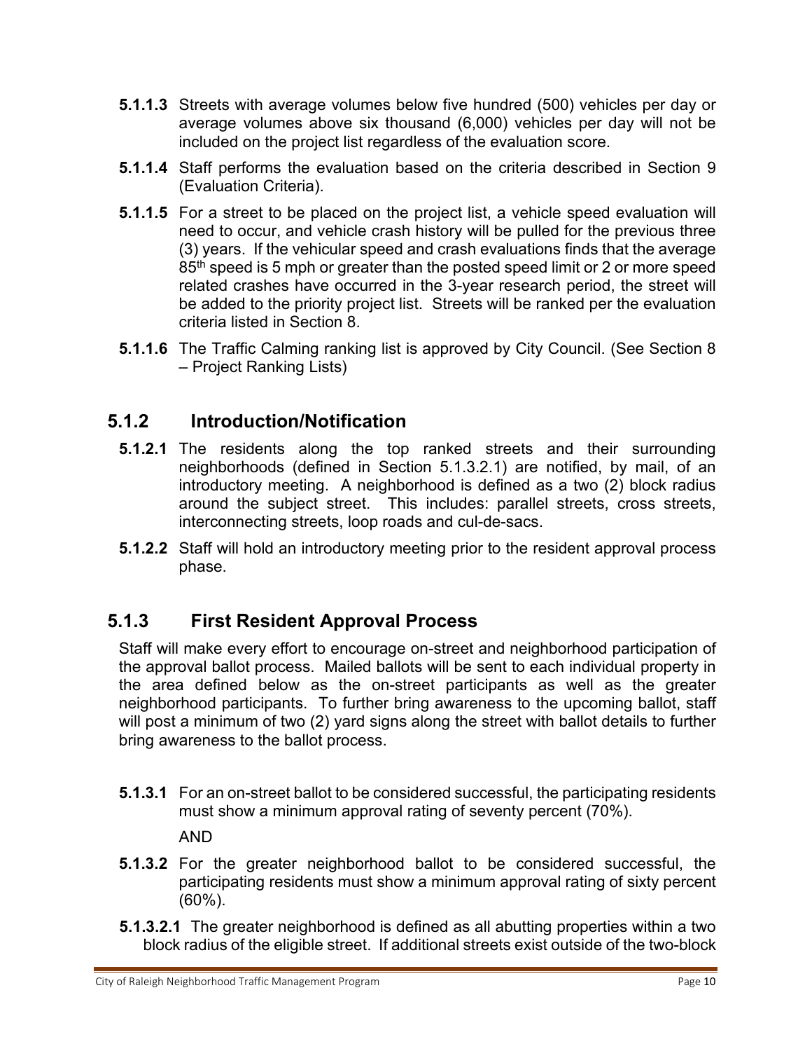- **5.1.1.3** Streets with average volumes below five hundred (500) vehicles per day or average volumes above six thousand (6,000) vehicles per day will not be included on the project list regardless of the evaluation score.
- **5.1.1.4** Staff performs the evaluation based on the criteria described in Section 9 (Evaluation Criteria).
- **5.1.1.5** For a street to be placed on the project list, a vehicle speed evaluation will need to occur, and vehicle crash history will be pulled for the previous three (3) years. If the vehicular speed and crash evaluations finds that the average 85<sup>th</sup> speed is 5 mph or greater than the posted speed limit or 2 or more speed related crashes have occurred in the 3-year research period, the street will be added to the priority project list. Streets will be ranked per the evaluation criteria listed in Section 8.
- **5.1.1.6** The Traffic Calming ranking list is approved by City Council. (See Section 8 – Project Ranking Lists)

## **5.1.2 Introduction/Notification**

- **5.1.2.1** The residents along the top ranked streets and their surrounding neighborhoods (defined in Section 5.1.3.2.1) are notified, by mail, of an introductory meeting. A neighborhood is defined as a two (2) block radius around the subject street. This includes: parallel streets, cross streets, interconnecting streets, loop roads and cul-de-sacs.
- **5.1.2.2** Staff will hold an introductory meeting prior to the resident approval process phase.

## **5.1.3 First Resident Approval Process**

Staff will make every effort to encourage on-street and neighborhood participation of the approval ballot process. Mailed ballots will be sent to each individual property in the area defined below as the on-street participants as well as the greater neighborhood participants. To further bring awareness to the upcoming ballot, staff will post a minimum of two (2) yard signs along the street with ballot details to further bring awareness to the ballot process.

**5.1.3.1** For an on-street ballot to be considered successful, the participating residents must show a minimum approval rating of seventy percent (70%).

AND

- **5.1.3.2** For the greater neighborhood ballot to be considered successful, the participating residents must show a minimum approval rating of sixty percent (60%).
- **5.1.3.2.1** The greater neighborhood is defined as all abutting properties within a two block radius of the eligible street. If additional streets exist outside of the two-block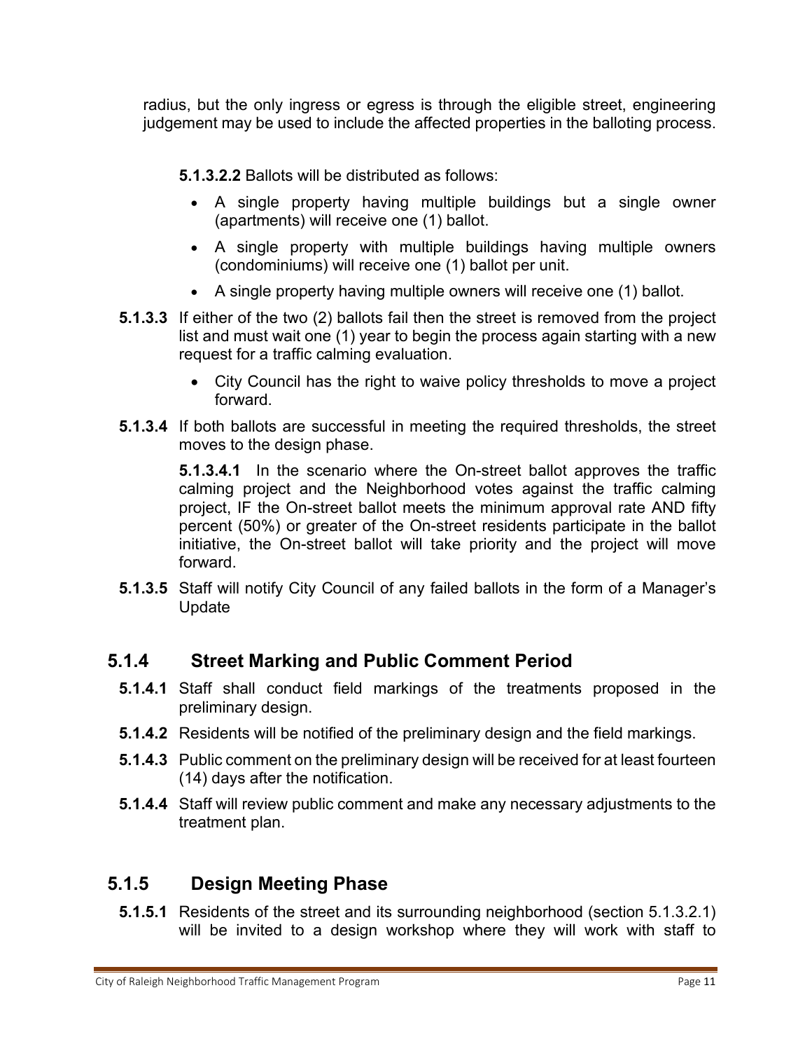radius, but the only ingress or egress is through the eligible street, engineering judgement may be used to include the affected properties in the balloting process.

**5.1.3.2.2** Ballots will be distributed as follows:

- A single property having multiple buildings but a single owner (apartments) will receive one (1) ballot.
- A single property with multiple buildings having multiple owners (condominiums) will receive one (1) ballot per unit.
- A single property having multiple owners will receive one (1) ballot.
- **5.1.3.3** If either of the two (2) ballots fail then the street is removed from the project list and must wait one (1) year to begin the process again starting with a new request for a traffic calming evaluation.
	- City Council has the right to waive policy thresholds to move a project forward.
- **5.1.3.4** If both ballots are successful in meeting the required thresholds, the street moves to the design phase.

**5.1.3.4.1** In the scenario where the On-street ballot approves the traffic calming project and the Neighborhood votes against the traffic calming project, IF the On-street ballot meets the minimum approval rate AND fifty percent (50%) or greater of the On-street residents participate in the ballot initiative, the On-street ballot will take priority and the project will move forward.

**5.1.3.5** Staff will notify City Council of any failed ballots in the form of a Manager's Update

#### **5.1.4 Street Marking and Public Comment Period**

- **5.1.4.1** Staff shall conduct field markings of the treatments proposed in the preliminary design.
- **5.1.4.2** Residents will be notified of the preliminary design and the field markings.
- **5.1.4.3** Public comment on the preliminary design will be received for at least fourteen (14) days after the notification.
- **5.1.4.4** Staff will review public comment and make any necessary adjustments to the treatment plan.

#### **5.1.5 Design Meeting Phase**

**5.1.5.1** Residents of the street and its surrounding neighborhood (section 5.1.3.2.1) will be invited to a design workshop where they will work with staff to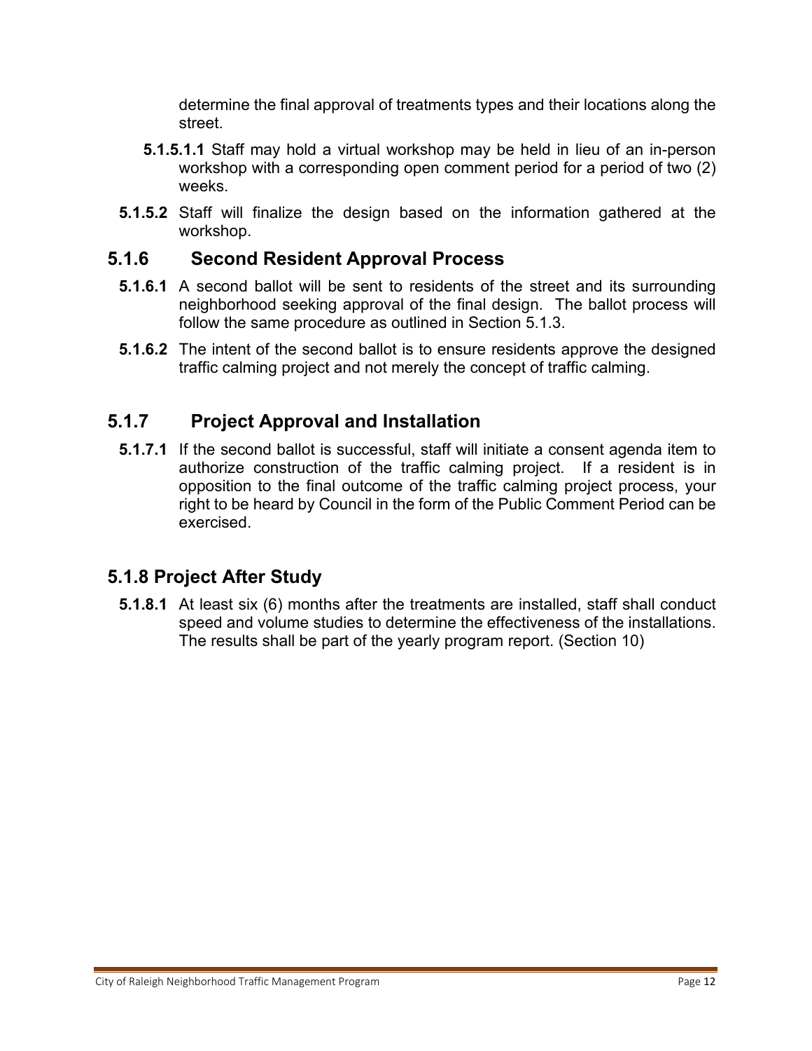determine the final approval of treatments types and their locations along the street.

- **5.1.5.1.1** Staff may hold a virtual workshop may be held in lieu of an in-person workshop with a corresponding open comment period for a period of two (2) weeks.
- **5.1.5.2** Staff will finalize the design based on the information gathered at the workshop.

#### **5.1.6 Second Resident Approval Process**

- **5.1.6.1** A second ballot will be sent to residents of the street and its surrounding neighborhood seeking approval of the final design. The ballot process will follow the same procedure as outlined in Section 5.1.3.
- **5.1.6.2** The intent of the second ballot is to ensure residents approve the designed traffic calming project and not merely the concept of traffic calming.

#### **5.1.7 Project Approval and Installation**

**5.1.7.1** If the second ballot is successful, staff will initiate a consent agenda item to authorize construction of the traffic calming project. If a resident is in opposition to the final outcome of the traffic calming project process, your right to be heard by Council in the form of the Public Comment Period can be exercised.

#### **5.1.8 Project After Study**

**5.1.8.1** At least six (6) months after the treatments are installed, staff shall conduct speed and volume studies to determine the effectiveness of the installations. The results shall be part of the yearly program report. (Section 10)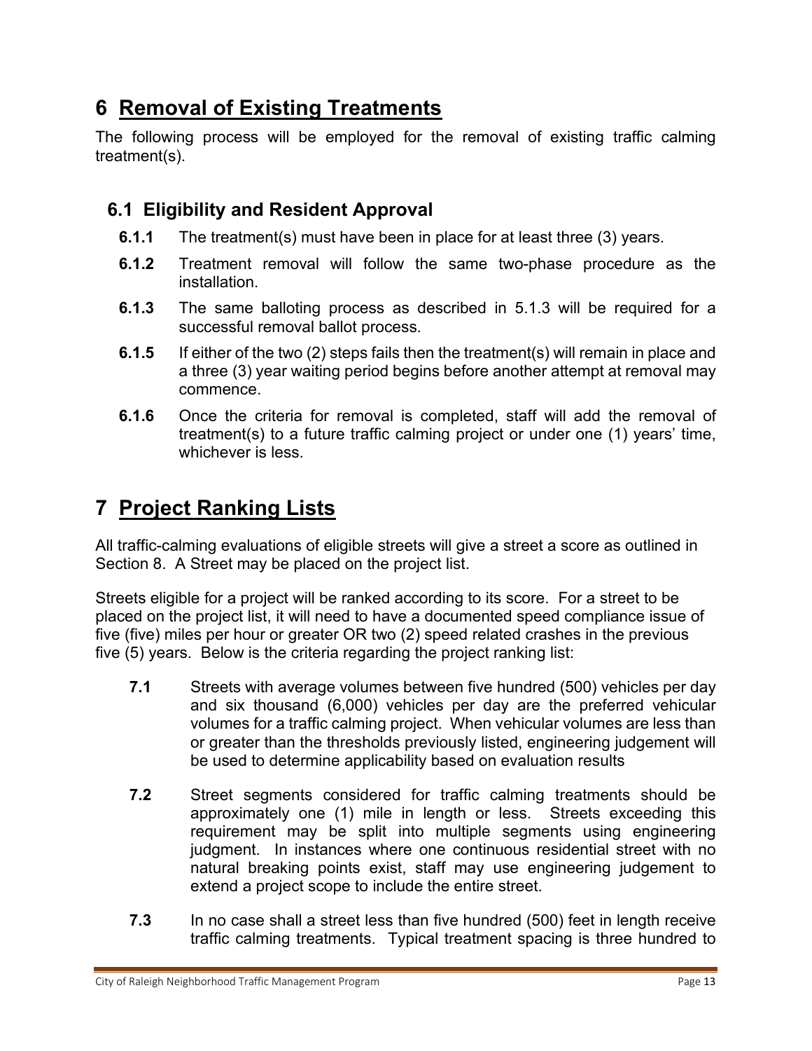# **6 Removal of Existing Treatments**

The following process will be employed for the removal of existing traffic calming treatment(s).

## **6.1 Eligibility and Resident Approval**

- **6.1.1** The treatment(s) must have been in place for at least three (3) years.
- **6.1.2** Treatment removal will follow the same two-phase procedure as the installation.
- **6.1.3** The same balloting process as described in 5.1.3 will be required for a successful removal ballot process.
- **6.1.5** If either of the two (2) steps fails then the treatment(s) will remain in place and a three (3) year waiting period begins before another attempt at removal may commence.
- **6.1.6** Once the criteria for removal is completed, staff will add the removal of treatment(s) to a future traffic calming project or under one (1) years' time, whichever is less.

# **7 Project Ranking Lists**

All traffic-calming evaluations of eligible streets will give a street a score as outlined in Section 8. A Street may be placed on the project list.

Streets eligible for a project will be ranked according to its score. For a street to be placed on the project list, it will need to have a documented speed compliance issue of five (five) miles per hour or greater OR two (2) speed related crashes in the previous five (5) years. Below is the criteria regarding the project ranking list:

- **7.1** Streets with average volumes between five hundred (500) vehicles per day and six thousand (6,000) vehicles per day are the preferred vehicular volumes for a traffic calming project. When vehicular volumes are less than or greater than the thresholds previously listed, engineering judgement will be used to determine applicability based on evaluation results
- **7.2** Street segments considered for traffic calming treatments should be approximately one (1) mile in length or less. Streets exceeding this requirement may be split into multiple segments using engineering judgment. In instances where one continuous residential street with no natural breaking points exist, staff may use engineering judgement to extend a project scope to include the entire street.
- **7.3** In no case shall a street less than five hundred (500) feet in length receive traffic calming treatments. Typical treatment spacing is three hundred to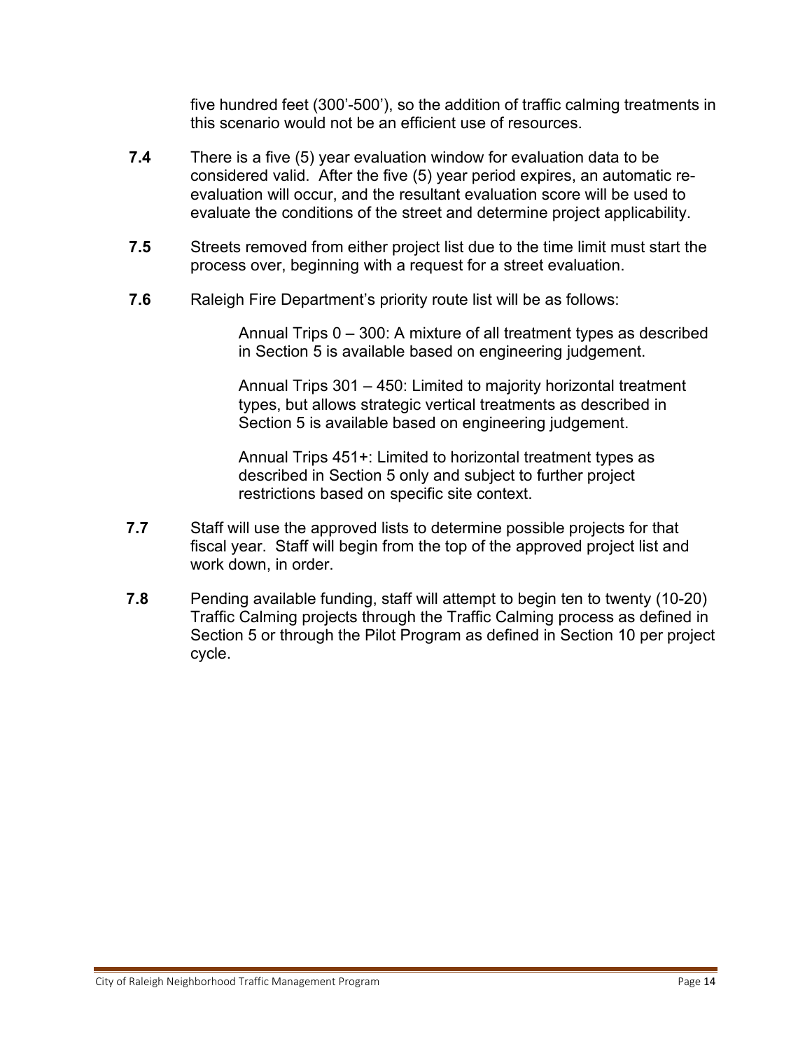five hundred feet (300'-500'), so the addition of traffic calming treatments in this scenario would not be an efficient use of resources.

- **7.4** There is a five (5) year evaluation window for evaluation data to be considered valid. After the five (5) year period expires, an automatic reevaluation will occur, and the resultant evaluation score will be used to evaluate the conditions of the street and determine project applicability.
- **7.5** Streets removed from either project list due to the time limit must start the process over, beginning with a request for a street evaluation.
- **7.6** Raleigh Fire Department's priority route list will be as follows:

Annual Trips 0 – 300: A mixture of all treatment types as described in Section 5 is available based on engineering judgement.

Annual Trips 301 – 450: Limited to majority horizontal treatment types, but allows strategic vertical treatments as described in Section 5 is available based on engineering judgement.

Annual Trips 451+: Limited to horizontal treatment types as described in Section 5 only and subject to further project restrictions based on specific site context.

- **7.7** Staff will use the approved lists to determine possible projects for that fiscal year. Staff will begin from the top of the approved project list and work down, in order.
- **7.8** Pending available funding, staff will attempt to begin ten to twenty (10-20) Traffic Calming projects through the Traffic Calming process as defined in Section 5 or through the Pilot Program as defined in Section 10 per project cycle.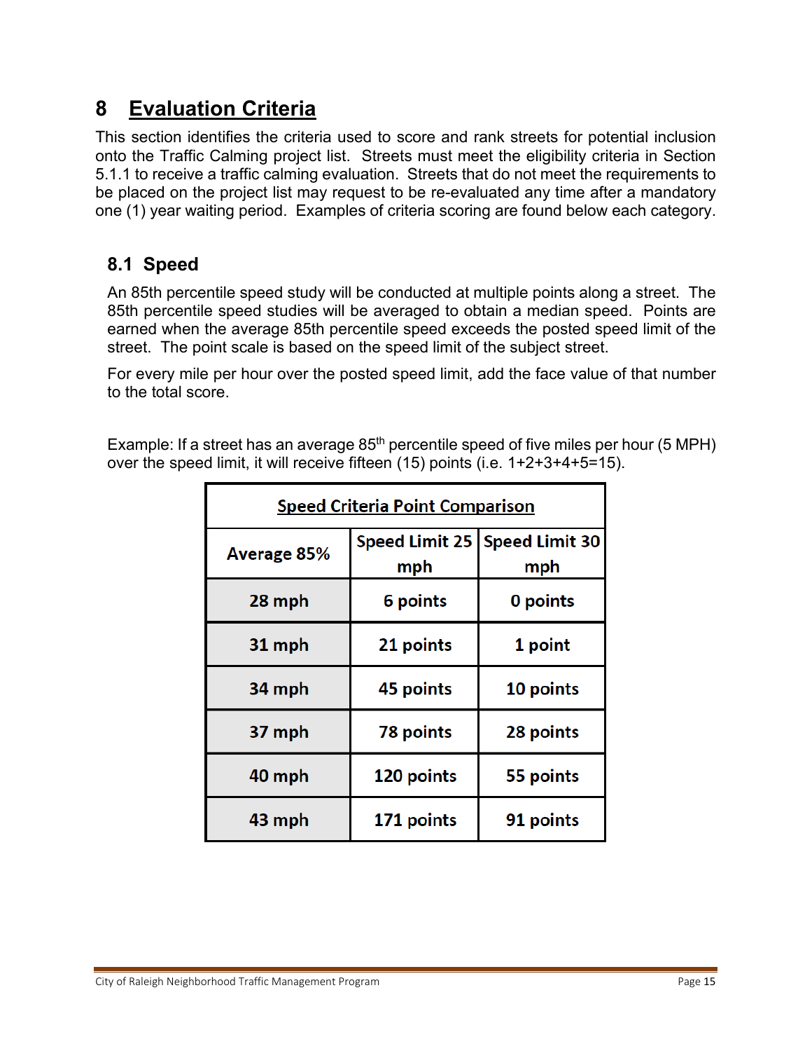## **8 Evaluation Criteria**

This section identifies the criteria used to score and rank streets for potential inclusion onto the Traffic Calming project list. Streets must meet the eligibility criteria in Section 5.1.1 to receive a traffic calming evaluation. Streets that do not meet the requirements to be placed on the project list may request to be re-evaluated any time after a mandatory one (1) year waiting period. Examples of criteria scoring are found below each category.

## **8.1 Speed**

An 85th percentile speed study will be conducted at multiple points along a street. The 85th percentile speed studies will be averaged to obtain a median speed. Points are earned when the average 85th percentile speed exceeds the posted speed limit of the street. The point scale is based on the speed limit of the subject street.

For every mile per hour over the posted speed limit, add the face value of that number to the total score.

Example: If a street has an average  $85<sup>th</sup>$  percentile speed of five miles per hour (5 MPH) over the speed limit, it will receive fifteen (15) points (i.e. 1+2+3+4+5=15).

| <b>Speed Criteria Point Comparison</b> |            |                                        |  |  |
|----------------------------------------|------------|----------------------------------------|--|--|
| Average 85%                            | mph        | Speed Limit 25   Speed Limit 30<br>mph |  |  |
| 28 mph                                 | 6 points   | 0 points                               |  |  |
| 31 mph                                 | 21 points  | 1 point                                |  |  |
| 34 mph                                 | 45 points  | 10 points                              |  |  |
| 37 mph                                 | 78 points  | 28 points                              |  |  |
| 40 mph                                 | 120 points | 55 points                              |  |  |
| 43 mph                                 | 171 points | 91 points                              |  |  |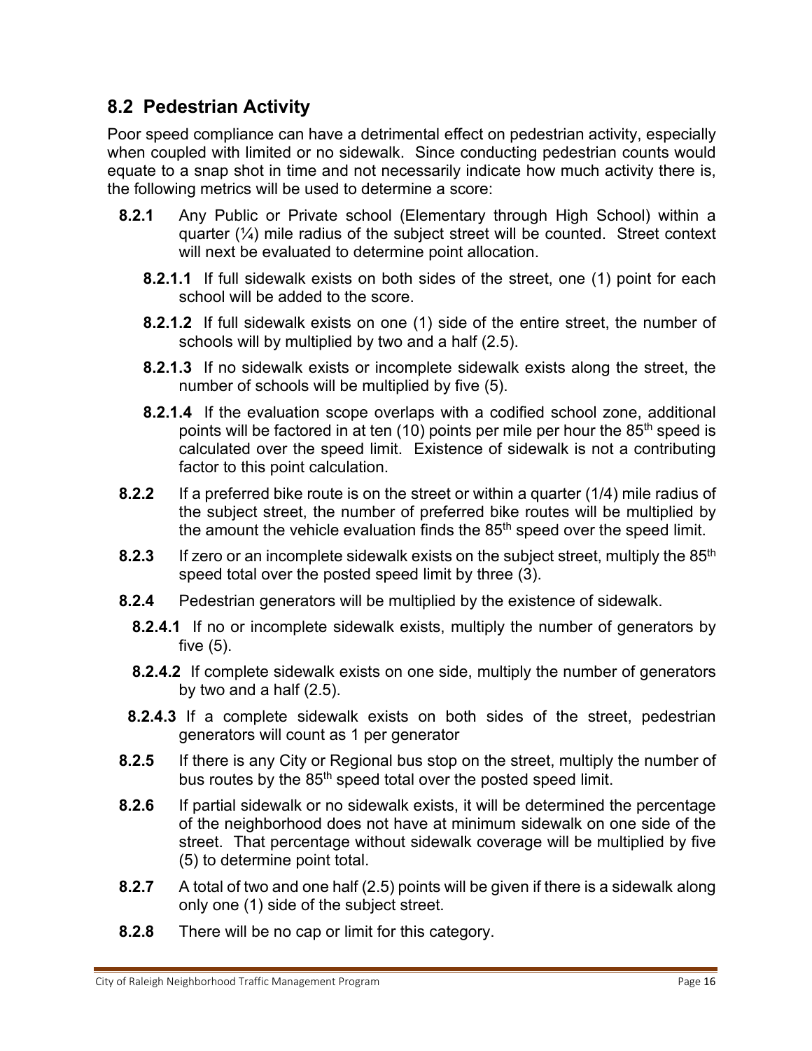#### **8.2 Pedestrian Activity**

Poor speed compliance can have a detrimental effect on pedestrian activity, especially when coupled with limited or no sidewalk. Since conducting pedestrian counts would equate to a snap shot in time and not necessarily indicate how much activity there is, the following metrics will be used to determine a score:

- **8.2.1** Any Public or Private school (Elementary through High School) within a quarter (¼) mile radius of the subject street will be counted. Street context will next be evaluated to determine point allocation.
	- **8.2.1.1** If full sidewalk exists on both sides of the street, one (1) point for each school will be added to the score.
	- **8.2.1.2** If full sidewalk exists on one (1) side of the entire street, the number of schools will by multiplied by two and a half (2.5).
	- **8.2.1.3** If no sidewalk exists or incomplete sidewalk exists along the street, the number of schools will be multiplied by five (5).
	- **8.2.1.4** If the evaluation scope overlaps with a codified school zone, additional points will be factored in at ten (10) points per mile per hour the 85<sup>th</sup> speed is calculated over the speed limit. Existence of sidewalk is not a contributing factor to this point calculation.
- **8.2.2** If a preferred bike route is on the street or within a quarter (1/4) mile radius of the subject street, the number of preferred bike routes will be multiplied by the amount the vehicle evaluation finds the 85<sup>th</sup> speed over the speed limit.
- **8.2.3** If zero or an incomplete sidewalk exists on the subject street, multiply the 85<sup>th</sup> speed total over the posted speed limit by three (3).
- **8.2.4** Pedestrian generators will be multiplied by the existence of sidewalk.
	- **8.2.4.1** If no or incomplete sidewalk exists, multiply the number of generators by five (5).
	- **8.2.4.2** If complete sidewalk exists on one side, multiply the number of generators by two and a half (2.5).
- **8.2.4.3** If a complete sidewalk exists on both sides of the street, pedestrian generators will count as 1 per generator
- **8.2.5** If there is any City or Regional bus stop on the street, multiply the number of bus routes by the 85<sup>th</sup> speed total over the posted speed limit.
- **8.2.6** If partial sidewalk or no sidewalk exists, it will be determined the percentage of the neighborhood does not have at minimum sidewalk on one side of the street. That percentage without sidewalk coverage will be multiplied by five (5) to determine point total.
- **8.2.7** A total of two and one half (2.5) points will be given if there is a sidewalk along only one (1) side of the subject street.
- **8.2.8** There will be no cap or limit for this category.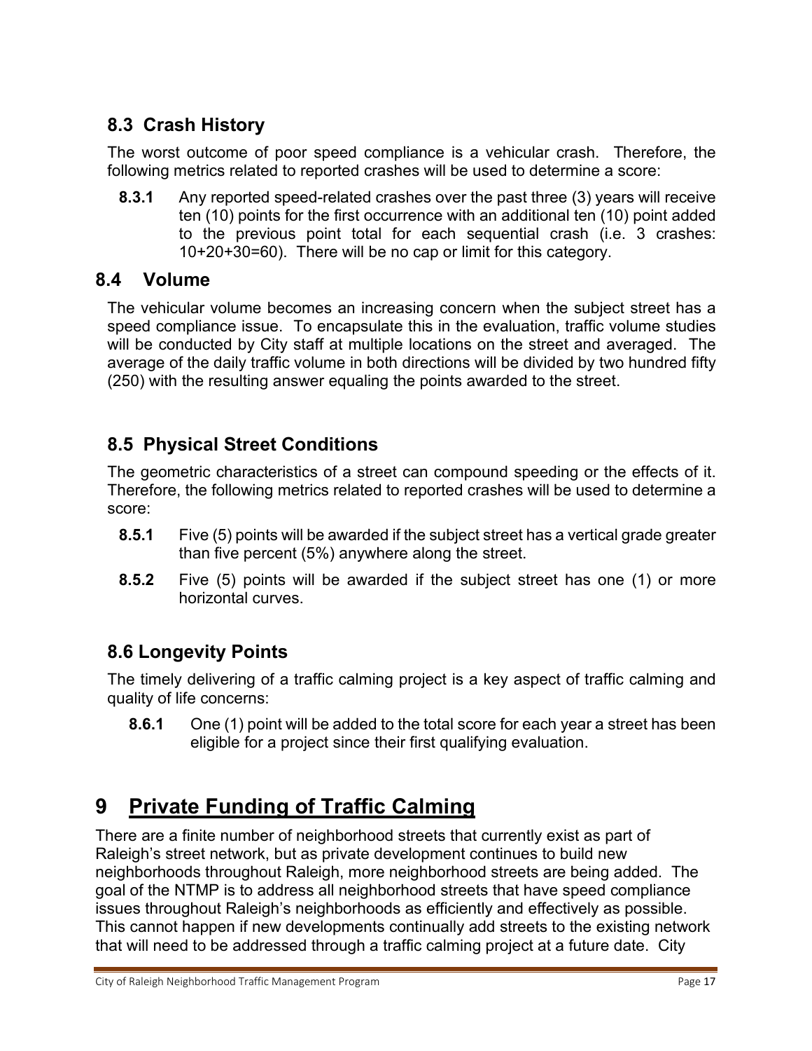## **8.3 Crash History**

The worst outcome of poor speed compliance is a vehicular crash. Therefore, the following metrics related to reported crashes will be used to determine a score:

**8.3.1** Any reported speed-related crashes over the past three (3) years will receive ten (10) points for the first occurrence with an additional ten (10) point added to the previous point total for each sequential crash (i.e. 3 crashes: 10+20+30=60). There will be no cap or limit for this category.

#### **8.4 Volume**

The vehicular volume becomes an increasing concern when the subject street has a speed compliance issue. To encapsulate this in the evaluation, traffic volume studies will be conducted by City staff at multiple locations on the street and averaged. The average of the daily traffic volume in both directions will be divided by two hundred fifty (250) with the resulting answer equaling the points awarded to the street.

## **8.5 Physical Street Conditions**

The geometric characteristics of a street can compound speeding or the effects of it. Therefore, the following metrics related to reported crashes will be used to determine a score:

- **8.5.1** Five (5) points will be awarded if the subject street has a vertical grade greater than five percent (5%) anywhere along the street.
- **8.5.2** Five (5) points will be awarded if the subject street has one (1) or more horizontal curves.

## **8.6 Longevity Points**

The timely delivering of a traffic calming project is a key aspect of traffic calming and quality of life concerns:

**8.6.1** One (1) point will be added to the total score for each year a street has been eligible for a project since their first qualifying evaluation.

# **9 Private Funding of Traffic Calming**

There are a finite number of neighborhood streets that currently exist as part of Raleigh's street network, but as private development continues to build new neighborhoods throughout Raleigh, more neighborhood streets are being added. The goal of the NTMP is to address all neighborhood streets that have speed compliance issues throughout Raleigh's neighborhoods as efficiently and effectively as possible. This cannot happen if new developments continually add streets to the existing network that will need to be addressed through a traffic calming project at a future date. City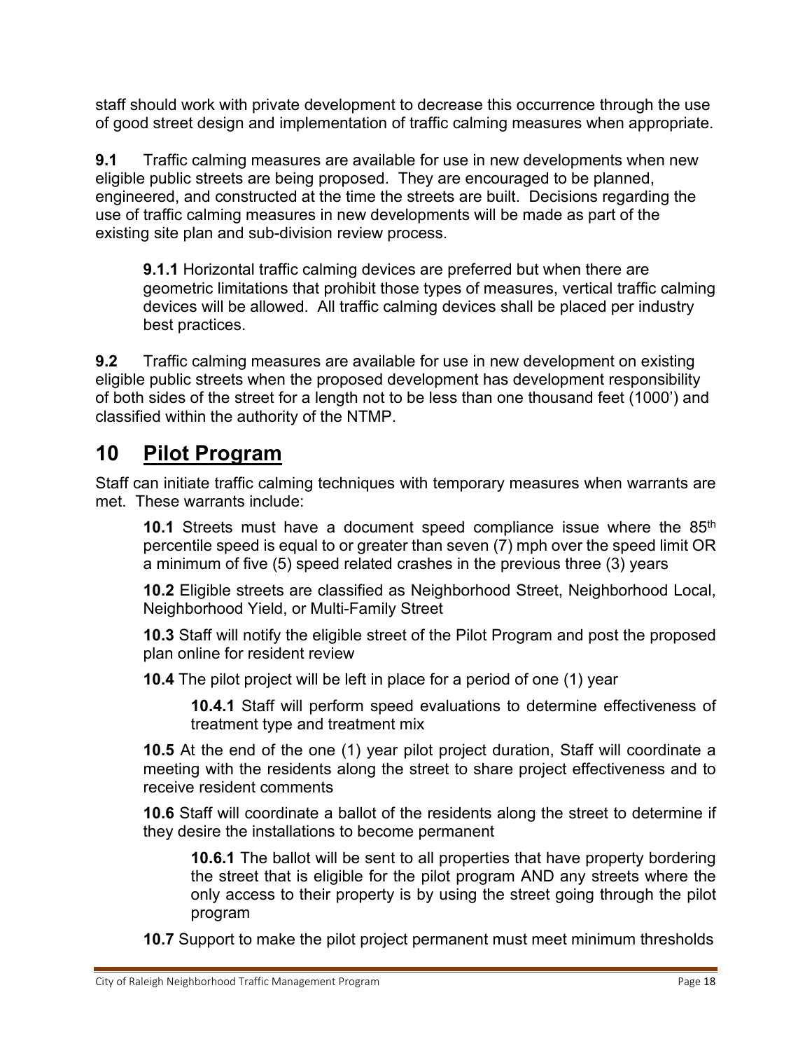staff should work with private development to decrease this occurrence through the use of good street design and implementation of traffic calming measures when appropriate.

**9.1** Traffic calming measures are available for use in new developments when new eligible public streets are being proposed. They are encouraged to be planned, engineered, and constructed at the time the streets are built. Decisions regarding the use of traffic calming measures in new developments will be made as part of the existing site plan and sub-division review process.

**9.1.1** Horizontal traffic calming devices are preferred but when there are geometric limitations that prohibit those types of measures, vertical traffic calming devices will be allowed. All traffic calming devices shall be placed per industry best practices.

**9.2** Traffic calming measures are available for use in new development on existing eligible public streets when the proposed development has development responsibility of both sides of the street for a length not to be less than one thousand feet (1000') and classified within the authority of the NTMP.

# **10 Pilot Program**

Staff can initiate traffic calming techniques with temporary measures when warrants are met. These warrants include:

**10.1** Streets must have a document speed compliance issue where the 85<sup>th</sup> percentile speed is equal to or greater than seven (7) mph over the speed limit OR a minimum of five (5) speed related crashes in the previous three (3) years

**10.2** Eligible streets are classified as Neighborhood Street, Neighborhood Local, Neighborhood Yield, or Multi-Family Street

**10.3** Staff will notify the eligible street of the Pilot Program and post the proposed plan online for resident review

**10.4** The pilot project will be left in place for a period of one (1) year

**10.4.1** Staff will perform speed evaluations to determine effectiveness of treatment type and treatment mix

**10.5** At the end of the one (1) year pilot project duration, Staff will coordinate a meeting with the residents along the street to share project effectiveness and to receive resident comments

**10.6** Staff will coordinate a ballot of the residents along the street to determine if they desire the installations to become permanent

**10.6.1** The ballot will be sent to all properties that have property bordering the street that is eligible for the pilot program AND any streets where the only access to their property is by using the street going through the pilot program

**10.7** Support to make the pilot project permanent must meet minimum thresholds